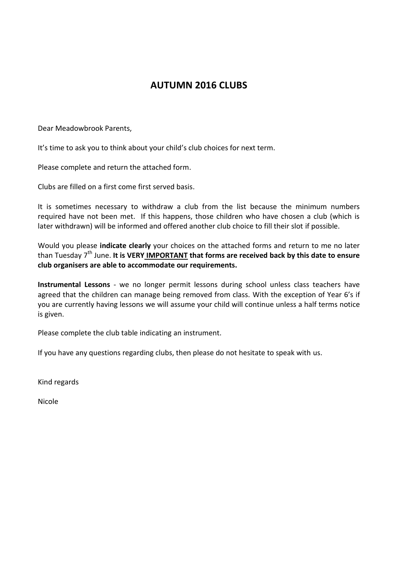# **AUTUMN 2016 CLUBS**

Dear Meadowbrook Parents,

It's time to ask you to think about your child's club choices for next term.

Please complete and return the attached form.

Clubs are filled on a first come first served basis.

It is sometimes necessary to withdraw a club from the list because the minimum numbers required have not been met. If this happens, those children who have chosen a club (which is later withdrawn) will be informed and offered another club choice to fill their slot if possible.

Would you please **indicate clearly** your choices on the attached forms and return to me no later than Tuesday 7th June. **It is VERY IMPORTANT that forms are received back by this date to ensure club organisers are able to accommodate our requirements.**

**Instrumental Lessons** - we no longer permit lessons during school unless class teachers have agreed that the children can manage being removed from class. With the exception of Year 6's if you are currently having lessons we will assume your child will continue unless a half terms notice is given.

Please complete the club table indicating an instrument.

If you have any questions regarding clubs, then please do not hesitate to speak with us.

Kind regards

Nicole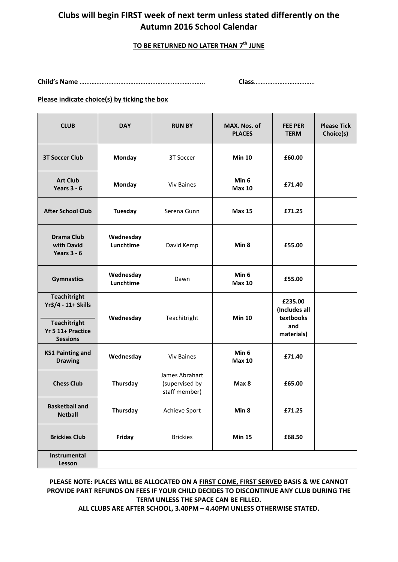## **Clubs will begin FIRST week of next term unless stated differently on the Autumn 2016 School Calendar**

### **TO BE RETURNED NO LATER THAN 7 th JUNE**

**Child's Name** ……………………………………………………………….. **Class**………………………………

#### **Please indicate choice(s) by ticking the box**

| <b>CLUB</b>                                                                                              | <b>DAY</b>             | <b>RUN BY</b>                                     | MAX. Nos. of<br><b>PLACES</b> | <b>FEE PER</b><br><b>TERM</b>                              | <b>Please Tick</b><br>Choice(s) |
|----------------------------------------------------------------------------------------------------------|------------------------|---------------------------------------------------|-------------------------------|------------------------------------------------------------|---------------------------------|
| <b>3T Soccer Club</b>                                                                                    | Monday                 | 3T Soccer                                         | <b>Min 10</b>                 | £60.00                                                     |                                 |
| <b>Art Club</b><br>Years $3 - 6$                                                                         | Monday                 | Viv Baines                                        | Min 6<br><b>Max 10</b>        | £71.40                                                     |                                 |
| <b>After School Club</b>                                                                                 | <b>Tuesday</b>         | Serena Gunn                                       | <b>Max 15</b>                 | £71.25                                                     |                                 |
| Drama Club<br>with David<br>Years $3 - 6$                                                                | Wednesday<br>Lunchtime | David Kemp                                        | Min <sub>8</sub>              | £55.00                                                     |                                 |
| <b>Gymnastics</b>                                                                                        | Wednesday<br>Lunchtime | Dawn                                              | Min 6<br><b>Max 10</b>        | £55.00                                                     |                                 |
| <b>Teachitright</b><br>Yr3/4 - 11+ Skills<br><b>Teachitright</b><br>Yr 5 11+ Practice<br><b>Sessions</b> | Wednesday              | Teachitright                                      | <b>Min 10</b>                 | £235.00<br>(Includes all<br>textbooks<br>and<br>materials) |                                 |
| <b>KS1 Painting and</b><br><b>Drawing</b>                                                                | Wednesday              | Viv Baines                                        | Min 6<br><b>Max 10</b>        | £71.40                                                     |                                 |
| <b>Chess Club</b>                                                                                        | Thursday               | James Abrahart<br>(supervised by<br>staff member) | Max 8                         | £65.00                                                     |                                 |
| <b>Basketball and</b><br><b>Netball</b>                                                                  | Thursday               | <b>Achieve Sport</b>                              | Min 8                         | £71.25                                                     |                                 |
| <b>Brickies Club</b>                                                                                     | Friday                 | <b>Brickies</b>                                   | <b>Min 15</b>                 | £68.50                                                     |                                 |
| Instrumental<br>Lesson                                                                                   |                        |                                                   |                               |                                                            |                                 |

## **PLEASE NOTE: PLACES WILL BE ALLOCATED ON A FIRST COME, FIRST SERVED BASIS & WE CANNOT PROVIDE PART REFUNDS ON FEES IF YOUR CHILD DECIDES TO DISCONTINUE ANY CLUB DURING THE TERM UNLESS THE SPACE CAN BE FILLED.**

**ALL CLUBS ARE AFTER SCHOOL, 3.40PM – 4.40PM UNLESS OTHERWISE STATED.**